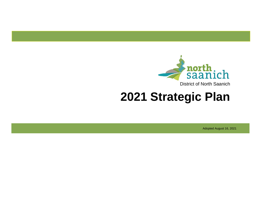

# **2021 Strategic Plan**

Adopted August 16, 2021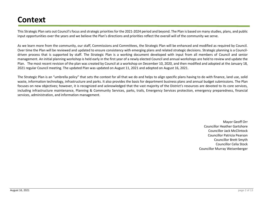# **Context**

This Strategic Plan sets out Council's focus and strategic priorities for the 2021-2024 period and beyond. The Plan is based on many studies, plans, and public input opportunities over the years and we believe the Plan's directions and priorities reflect the overall will of the community we serve.

As we learn more from the community, our staff, Commissions and Committees, the Strategic Plan will be enhanced and modified as required by Council. Over time the Plan will be reviewed and updated to ensure consistency with emerging plans and related strategic decisions. Strategic planning is a Councildriven process that is supported by staff. The Strategic Plan is a working document developed with input from all members of Council and senior management. An initial planning workshop is held early in the first year of a newly elected Council and annual workshops are held to review and update the Plan. The most recent revision of the plan was created by Council at a workshop on December 10, 2020, and then modified and adopted at the January 18, 2021 regular Council meeting. The updated Plan was updated on August 11, 2021 and adopted on August 16, 2021.

The Strategic Plan is an "umbrella policy" that sets the context for all that we do and helps to align specific plans having to do with finance, land use, solid waste, information technology, infrastructure and parks. It also provides the basis for department business plans and annual budget submissions. The Plan focuses on new objectives; however, it is recognized and acknowledged that the vast majority of the District's resources are devoted to its core services, including infrastructure maintenance, Planning & Community Services, parks, trails, Emergency Services protection, emergency preparedness, financial services, administration, and information management.

> Mayor Geoff Orr Councillor Heather Gartshore Councillor Jack McClintock Councillor Patricia Pearson Councillor Brett Smyth Councillor Celia Stock Councillor Murray Weisenberger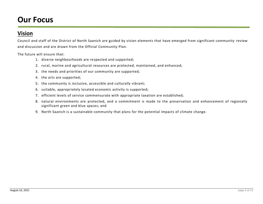# **Our Focus**

## **Vision**

Council and staff of the District of North Saanich are guided by vision elements that have emerged from significant community review and discussion and are drawn from the Official Community Plan.

The future will ensure that:

- 1. diverse neighbourhoods are respected and supported;
- 2. rural, marine and agricultural resources are protected, maintained, and enhanced;
- 3. the needs and priorities of our community are supported;
- 4. the arts are supported;
- 5. the community is inclusive, accessible and culturally vibrant;
- 6. suitable, appropriately located economic activity is supported;
- 7. efficient levels of service commensurate with appropriate taxation are established;
- 8. natural environments are protected, and a commitment is made to the preservation and enhancement of regionally significant green and blue spaces; and
- 9. North Saanich is a sustainable community that plans for the potential impacts of climate change.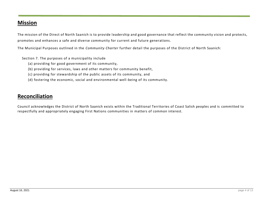### **Mission**

The mission of the Direct of North Saanich is to provide leadership and good governance that reflect the community vision and protects, promotes and enhances a safe and diverse community for current and future generations.

The Municipal Purposes outlined in the *Community Charter* further detail the purposes of the District of North Saanich:

Section 7. The purposes of a municipality include

- (a) providing for good government of its community,
- (b) providing for services, laws and other matters for community benefit,
- (c) providing for stewardship of the public assets of its community, and
- (d) fostering the economic, social and environmental well-being of its community.

### **Reconciliation**

Council acknowledges the District of North Saanich exists within the Traditional Territories of Coast Salish peoples and is committed to respectfully and appropriately engaging First Nations communities in matters of common interest.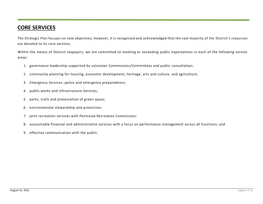## **CORE SERVICES**

The Strategic Plan focuses on new objectives; however, it is recognized and acknowledged that the vast majority of the District's resources are devoted to its core services,

Within the means of District taxpayers, we are committed to meeting or exceeding public expectations in each of the following service areas:

- 1. governance leadership supported by volunteer Commissions/Committees and public consultation;
- 2. community planning for housing, economic development, heritage, arts and culture, and agriculture;
- 3. Emergency Services, police and emergency preparedness;
- 4. public works and Infrastructure Services;
- 5. parks, trails and preservation of green space;
- 6. environmental stewardship and protection;
- 7. joint recreation services with Peninsula Recreation Commission;
- 8. accountable financial and administrative services with a focus on performance management across all functions; and
- 9. effective communication with the public.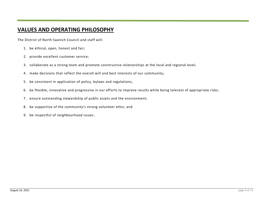# **VALUES AND OPERATING PHILOSOPHY**

The District of North Saanich Council and staff will:

- 1. be ethical, open, honest and fair;
- 2. provide excellent customer service;
- 3. collaborate as a strong team and promote constructive relationships at the local and regional level;
- 4. make decisions that reflect the overall will and best interests of our community;
- 5. be consistent in application of policy, bylaws and regulations;
- 6. be flexible, innovative and progressive in our efforts to improve results while being tolerant of appropriate risks;
- 7. ensure outstanding stewardship of public assets and the environment;
- 8. be supportive of the community's strong volunteer ethic; and
- 9. be respectful of neighbourhood issues.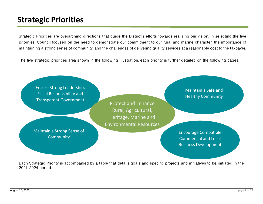# **Strategic Priorities**

Strategic Priorities are overarching directions that guide the District's efforts towards realizing our vision. In selecting the five priorities, Council focused on the need to demonstrate our commitment to our rural and marine character, the importance of maintaining a strong sense of community, and the challenges of delivering quality services at a reasonable cost to the taxpayer.

The five strategic priorities area shown in the following illustration; each priority is further detailed on the following pages.



Each Strategic Priority is accompanied by a table that details goals and specific projects and initiatives to be initiated in the 2021-2024 period.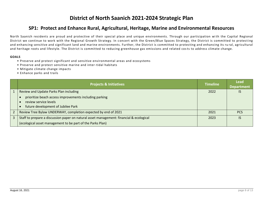# **District of North Saanich 2021-2024 Strategic Plan**

#### **SP1: Protect and Enhance Rural, Agricultural, Heritage, Marine and Environmental Resources**

North Saanich residents are proud and protective of their special place and unique environments. Through our participation with the Capital Regional District we continue to work with the Regional Growth Strategy. In concert with the Green/Blue Spaces Strategy, the District is committed to protecting and enhancing sensitive and significant land and marine environments. Further, the District is committed to protecting and enhancing its ru ral, agricultural and heritage roots and lifestyle. The District is committed to reducing greenhouse gas emissions and related cos ts to address climate change.

- Preserve and protect significant and sensitive environmental areas and ecosystems
- Preserve and protect sensitive marine and inter-tidal habitats
- Mitigate climate change impacts
- Enhance parks and trails

|   | <b>Projects &amp; Initiatives</b>                                                                                     | <b>Timeline</b> | <b>Lead</b><br><b>Department</b> |
|---|-----------------------------------------------------------------------------------------------------------------------|-----------------|----------------------------------|
|   | Review and Update Parks Plan including                                                                                | 2022            | IS                               |
|   | prioritize beach access improvements including parking<br>review service levels<br>future development of Jubilee Park |                 |                                  |
|   | Review Tree Bylaw UNDERWAY, completion expected by end of 2021                                                        | 2021            | <b>PCS</b>                       |
| 3 | Staff to prepare a discussion paper on natural asset management: financial & ecological                               | 2023            | IS                               |
|   | (ecological asset management to be part of the Parks Plan)                                                            |                 |                                  |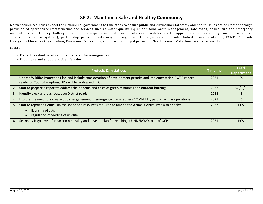#### **SP 2: Maintain a Safe and Healthy Community**

North Saanich residents expect their municipal government to take steps to ensure public and environmental safety and health issues are addressed through provision of appropriate infrastructure and services such as water quality, liquid and solid waste management, safe roads, po lice, fire and emergency medical services. The key challenge in a sma ll municipality with extensive rural areas is to determine the appropriate balance amongst owner provision of services (e.g. septic systems), partnership provision with neighbouring jurisdictions (Saanich Peninsula Unified Sewer Treatm ent, RCMP, Peninsula Emergency Measures Organization, Panorama Recreation), and direct municipal provision (North Saanich Volunteer Fire Departmen t).

- Protect resident safety and be prepared for emergencies
- Encourage and support active lifestyles

|                | <b>Projects &amp; Initiatives</b>                                                                                                                                            | <b>Timeline</b> | <b>Lead</b><br><b>Department</b> |
|----------------|------------------------------------------------------------------------------------------------------------------------------------------------------------------------------|-----------------|----------------------------------|
|                | Update Wildfire Protection Plan and include consideration of development permits and implementation CWPP report<br>ready for Council adoption; DP's will be addressed in OCP | 2021            | ES                               |
| $\overline{2}$ | Staff to prepare a report to address the benefits and costs of green resources and outdoor burning                                                                           | 2022            | PCS/IS/ES                        |
| 3              | Identify truck and bus routes on District roads                                                                                                                              | 2022            | IS                               |
| 4              | Explore the need to increase public engagement in emergency preparedness COMPLETE, part of regular operations                                                                | 2021            | ES                               |
| 5              | Staff to report to Council on the scope and resources required to amend the Animal Control Bylaw to enable:<br>licensing of cats<br>regulation of feeding of wildlife        | 2023            | <b>PCS</b>                       |
| 6              | Set realistic goal year for carbon neutrality and develop plan for reaching it UNDERWAY, part of OCP                                                                         | 2021            | <b>PCS</b>                       |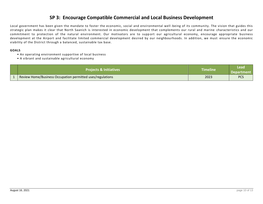#### **SP 3: Encourage Compatible Commercial and Local Business Development**

Local government has been given the mandate to foster the economic, social and environmental well -being of its community. The vision that guides this strategic plan makes it clear that North Saanich is interested in economic development that complements our rural and marine characteristics and our commitment to protection of the natural environment. Our motivators are to support our agricultural economy, encourage appropriate business development at the Airport and facilitate limited commercial development desired by our neighbourhoods. In addition, we must ensure the economic viability of the District through a balanced, sustainable tax base.

- An operating environment supportive of local business
- A vibrant and sustainable agricultural economy

| <b>Projects &amp; Initiatives</b>                          | Timeline | Lead<br><b>Department</b> |
|------------------------------------------------------------|----------|---------------------------|
| Review Home/Business Occupation permitted uses/regulations | 2023     | <b>PCS</b>                |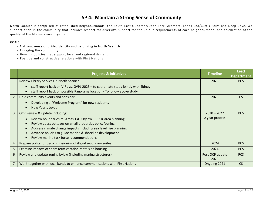#### **SP 4: Maintain a Strong Sense of Community**

North Saanich is comprised of established neighbourhoods: the South -East Quadrant/Dean Park, Ardmore, Lands End/Curtis Point and Deep Cove. We support pride in the community that includes respect for diversity, support for the unique requirements of each neighbourhood, and celebration of the quality of the life we share together.

- A strong sense of pride, identity and belonging in North Saanich
- Engaging the community
- Housing policies that support local and regional demand
- Positive and constructive relations with First Nations

|                | <b>Projects &amp; Initiatives</b>                                                                                                                            | Timeline        | <b>Lead</b><br><b>Department</b> |
|----------------|--------------------------------------------------------------------------------------------------------------------------------------------------------------|-----------------|----------------------------------|
| $\mathbf{1}$   | Review Library Services in North Saanich                                                                                                                     | 2023            | <b>PCS</b>                       |
|                | staff report back on VIRL vs. GVPL 2023 - to coordinate study jointly with Sidney<br>staff report back on possible Panorama location - To follow above study |                 |                                  |
| $\overline{2}$ | Hold community events and consider:                                                                                                                          | 2023            | <b>CS</b>                        |
|                | Developing a "Welcome Program" for new residents                                                                                                             |                 |                                  |
|                | New Year's Levee                                                                                                                                             |                 |                                  |
| $\overline{3}$ | OCP Review & update including:                                                                                                                               | $2020 - 2022$   | <b>PCS</b>                       |
|                | Review boundaries re: Areas 1 & 2 Bylaw 1352 & area planning                                                                                                 | 2 year process  |                                  |
|                | Review guest cottages on small properties policy/zoning                                                                                                      |                 |                                  |
|                | Address climate change impacts including sea level rise planning                                                                                             |                 |                                  |
|                | Advance policies to guide marine & shoreline development                                                                                                     |                 |                                  |
|                | Review marine task force recommendations                                                                                                                     |                 |                                  |
| $\overline{4}$ | Prepare policy for decommissioning of illegal secondary suites                                                                                               | 2024            | <b>PCS</b>                       |
| 5              | Examine impacts of short-term vacation rentals on housing                                                                                                    | 2024            | <b>PCS</b>                       |
| 6              | Review and update zoning bylaw (including marina structures)                                                                                                 | Post OCP update | <b>PCS</b>                       |
|                |                                                                                                                                                              | 2023            |                                  |
|                | Work together with local bands to enhance communications with First Nations                                                                                  | Ongoing 2021    | <b>CS</b>                        |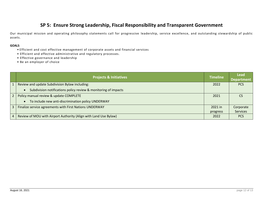#### **SP 5: Ensure Strong Leadership, Fiscal Responsibility and Transparent Government**

Our municipal mission and operating philosophy statements call for progressive leadership, service excellence, and outstanding stewardship of public assets.

- Efficient and cost effective management of corporate assets and financial services
- Efficient and effective administrative and regulatory processes.
- Effective governance and leadership
- Be an employer of choice

|                | <b>Projects &amp; Initiatives</b>                                            | <b>Timeline</b> | Lead<br><b>Department</b> |
|----------------|------------------------------------------------------------------------------|-----------------|---------------------------|
|                | Review and update Subdivision Bylaw including:                               | 2022            | <b>PCS</b>                |
|                | Subdivision notifications policy review & monitoring of impacts<br>$\bullet$ |                 |                           |
| 2 <sup>1</sup> | Policy manual review & update COMPLETE                                       | 2021            |                           |
|                | To include new anti-discrimination policy UNDERWAY<br>$\bullet$              |                 |                           |
| $\mathbf{3}$   | Finalize service agreements with First Nations UNDERWAY                      | 2021 in         | Corporate                 |
|                |                                                                              | progress        | <b>Services</b>           |
| 4 <sup>1</sup> | Review of MOU with Airport Authority (Align with Land Use Bylaw)             | 2022            | <b>PCS</b>                |